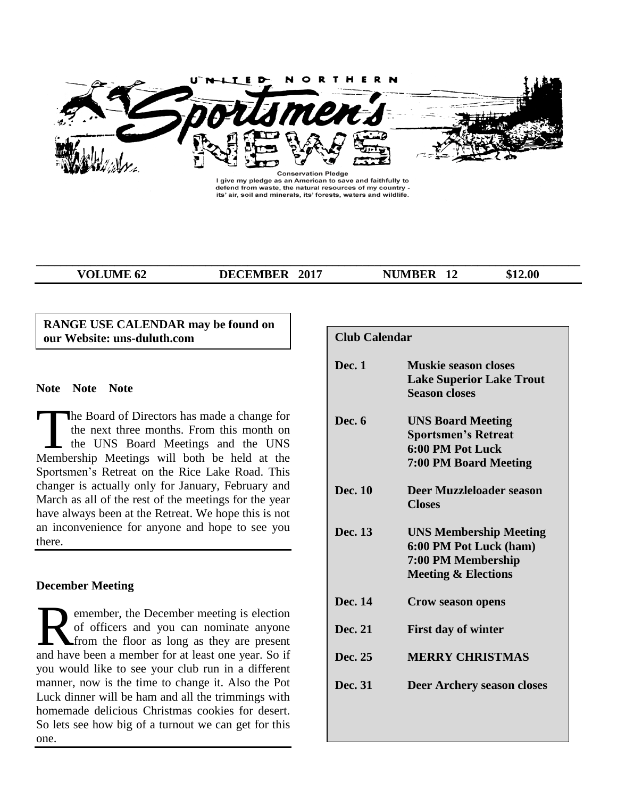

I give my pledge as an American to save and faithfully to defend from waste, the natural resources of my country -<br>its' air, soil and minerals, its' forests, waters and wildlife.

**\_\_\_\_\_\_\_\_\_\_\_\_\_\_\_\_\_\_\_\_\_\_\_\_\_\_\_\_\_\_\_\_\_\_\_\_\_\_\_\_\_\_\_\_\_\_\_\_\_\_\_\_\_\_\_\_\_\_\_\_\_\_\_\_\_\_\_\_\_\_\_\_\_\_\_\_\_\_\_\_\_\_\_\_\_\_\_\_\_\_**

**VOLUME 62 DECEMBER 2017 NUMBER 12** \$12.00

# **RANGE USE CALENDAR may be found on our Website: uns-duluth.com**

# **Note Note Note**

he Board of Directors has made a change for the next three months. From this month on the UNS Board Meetings and the UNS The Board of Directors has made a change for<br>the next three months. From this month on<br>the UNS Board Meetings and the UNS<br>Membership Meetings will both be held at the Sportsmen's Retreat on the Rice Lake Road. This changer is actually only for January, February and March as all of the rest of the meetings for the year have always been at the Retreat. We hope this is not an inconvenience for anyone and hope to see you there.

# **December Meeting**

emember, the December meeting is election of officers and you can nominate anyone from the floor as long as they are present **a** emember, the December meeting is election of officers and you can nominate anyone from the floor as long as they are present and have been a member for at least one year. So if you would like to see your club run in a different manner, now is the time to change it. Also the Pot Luck dinner will be ham and all the trimmings with homemade delicious Christmas cookies for desert. So lets see how big of a turnout we can get for this one.

| <b>Club Calendar</b> |                                                                                                                 |
|----------------------|-----------------------------------------------------------------------------------------------------------------|
| Dec. 1               | <b>Muskie season closes</b><br><b>Lake Superior Lake Trout</b><br><b>Season closes</b>                          |
| Dec. 6               | <b>UNS Board Meeting</b><br><b>Sportsmen's Retreat</b><br>6:00 PM Pot Luck<br><b>7:00 PM Board Meeting</b>      |
| Dec. 10              | <b>Deer Muzzleloader season</b><br><b>Closes</b>                                                                |
| Dec. 13              | <b>UNS Membership Meeting</b><br>6:00 PM Pot Luck (ham)<br>7:00 PM Membership<br><b>Meeting &amp; Elections</b> |
| Dec. 14              | <b>Crow season opens</b>                                                                                        |
| Dec. 21              | <b>First day of winter</b>                                                                                      |
| Dec. 25              | <b>MERRY CHRISTMAS</b>                                                                                          |
| Dec. 31              | Deer Archery season closes                                                                                      |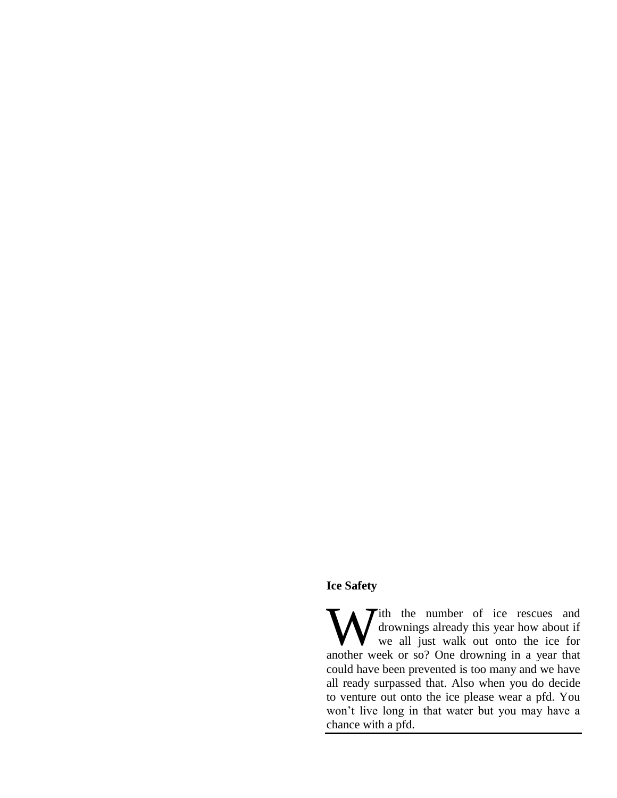# **Ice Safety**

ith the number of ice rescues and drownings already this year how about if we all just walk out onto the ice for another week or so? One drowning in a year that could have been prevented is too many and we have all ready surpassed that. Also when you do decide to venture out onto the ice please wear a pfd. You won't live long in that water but you may have a chance with a pfd. W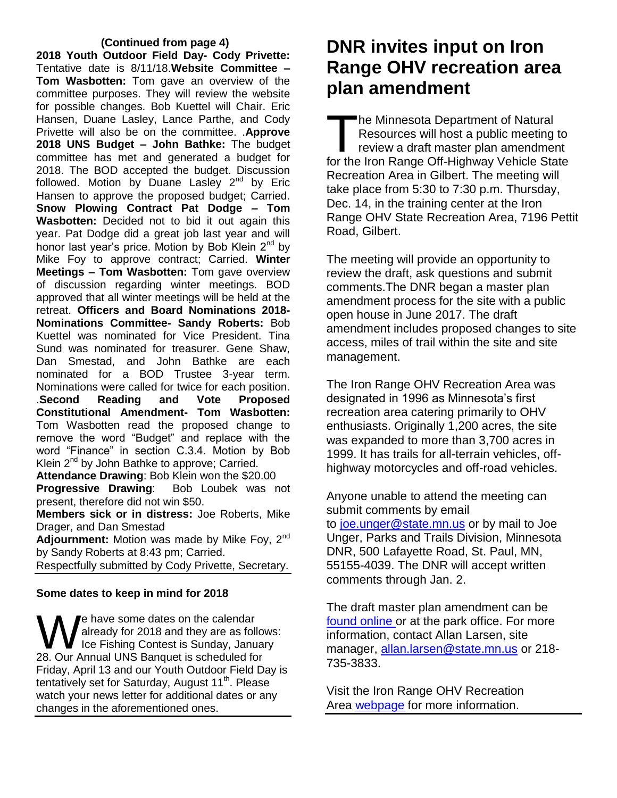### **(Continued from page 4)**

**2018 Youth Outdoor Field Day- Cody Privette:** Tentative date is 8/11/18.**Website Committee – Tom Wasbotten:** Tom gave an overview of the committee purposes. They will review the website for possible changes. Bob Kuettel will Chair. Eric Hansen, Duane Lasley, Lance Parthe, and Cody Privette will also be on the committee. .**Approve 2018 UNS Budget – John Bathke:** The budget committee has met and generated a budget for 2018. The BOD accepted the budget. Discussion followed. Motion by Duane Lasley  $2^{nd}$  by Eric Hansen to approve the proposed budget; Carried. **Snow Plowing Contract Pat Dodge – Tom Wasbotten:** Decided not to bid it out again this year. Pat Dodge did a great job last year and will honor last year's price. Motion by Bob Klein 2<sup>nd</sup> by Mike Foy to approve contract; Carried. **Winter Meetings – Tom Wasbotten:** Tom gave overview of discussion regarding winter meetings. BOD approved that all winter meetings will be held at the retreat. **Officers and Board Nominations 2018- Nominations Committee- Sandy Roberts:** Bob Kuettel was nominated for Vice President. Tina Sund was nominated for treasurer. Gene Shaw, Dan Smestad, and John Bathke are each nominated for a BOD Trustee 3-year term. Nominations were called for twice for each position. .**Second Reading and Vote Proposed Constitutional Amendment- Tom Wasbotten:**  Tom Wasbotten read the proposed change to remove the word "Budget" and replace with the word "Finance" in section C.3.4. Motion by Bob Klein  $2^{nd}$  by John Bathke to approve; Carried.

**Attendance Drawing**: Bob Klein won the \$20.00 **Progressive Drawing**: Bob Loubek was not present, therefore did not win \$50.

**Members sick or in distress:** Joe Roberts, Mike Drager, and Dan Smestad

Adjournment: Motion was made by Mike Fov. 2<sup>nd</sup> by Sandy Roberts at 8:43 pm; Carried.

Respectfully submitted by Cody Privette, Secretary.

# **Some dates to keep in mind for 2018**

'e have some dates on the calendar already for 2018 and they are as follows: Ice Fishing Contest is Sunday, January **1** Phave some dates on the calendar<br>already for 2018 and they are as follo<br>28. Our Annual UNS Banquet is scheduled for Friday, April 13 and our Youth Outdoor Field Day is tentatively set for Saturday, August 11<sup>th</sup>. Please watch your news letter for additional dates or any changes in the aforementioned ones.

# **DNR invites input on Iron Range OHV recreation area plan amendment**

he Minnesota Department of Natural Resources will host a public meeting to review a draft master plan amendment The Minnesota Department of Natural<br>
Resources will host a public meeting to<br>
review a draft master plan amendment<br>
for the Iron Range Off-Highway Vehicle State Recreation Area in Gilbert. The meeting will take place from 5:30 to 7:30 p.m. Thursday, Dec. 14, in the training center at the Iron Range OHV State Recreation Area, 7196 Pettit Road, Gilbert.

The meeting will provide an opportunity to review the draft, ask questions and submit comments.The DNR began a master plan amendment process for the site with a public open house in June 2017. The draft amendment includes proposed changes to site access, miles of trail within the site and site management.

The Iron Range OHV Recreation Area was designated in 1996 as Minnesota's first recreation area catering primarily to OHV enthusiasts. Originally 1,200 acres, the site was expanded to more than 3,700 acres in 1999. It has trails for all-terrain vehicles, offhighway motorcycles and off-road vehicles.

Anyone unable to attend the meeting can submit comments by email to [joe.unger@state.mn.us](mailto:joe.unger@state.mn.us) or by mail to Joe Unger, Parks and Trails Division, Minnesota DNR, 500 Lafayette Road, St. Paul, MN, 55155-4039. The DNR will accept written comments through Jan. 2.

The draft master plan amendment can be [found online](http://www.dnr.state.mn.us/input/mgmtplans/ohv/plans/iron_range_ohv_sra_amendment.html) or at the park office. For more information, contact Allan Larsen, site manager, [allan.larsen@state.mn.us](mailto:allan.larsen@state.mn.us) or 218-735-3833.

Visit the Iron Range OHV Recreation Area [webpage](http://www.dnr.state.mn.us/ohv/trail_detail.html?id=13) for more information.